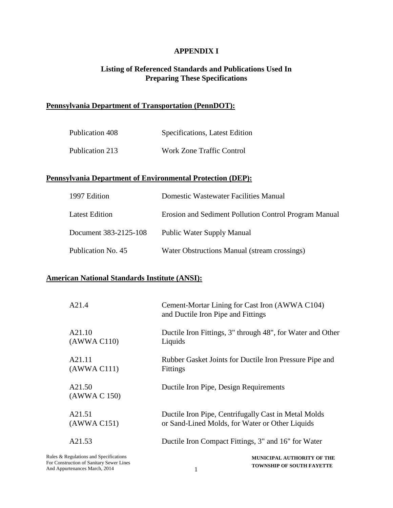# **APPENDIX I**

# **Listing of Referenced Standards and Publications Used In Preparing These Specifications**

# **Pennsylvania Department of Transportation (PennDOT):**

| Publication 408 | Specifications, Latest Edition   |
|-----------------|----------------------------------|
| Publication 213 | <b>Work Zone Traffic Control</b> |

### **Pennsylvania Department of Environmental Protection (DEP):**

| 1997 Edition          | Domestic Wastewater Facilities Manual                 |
|-----------------------|-------------------------------------------------------|
| <b>Latest Edition</b> | Erosion and Sediment Pollution Control Program Manual |
| Document 383-2125-108 | <b>Public Water Supply Manual</b>                     |
| Publication No. 45    | Water Obstructions Manual (stream crossings)          |

#### **American National Standards Institute (ANSI):**

| A21.4                                    | Cement-Mortar Lining for Cast Iron (AWWA C104)<br>and Ductile Iron Pipe and Fittings |
|------------------------------------------|--------------------------------------------------------------------------------------|
| A21.10                                   | Ductile Iron Fittings, 3" through 48", for Water and Other                           |
| (AWWA C110)                              | Liquids                                                                              |
| A21.11                                   | Rubber Gasket Joints for Ductile Iron Pressure Pipe and                              |
| (AWWA C111)                              | <b>Fittings</b>                                                                      |
| A21.50<br>(AWWA C 150)                   | Ductile Iron Pipe, Design Requirements                                               |
| A21.51                                   | Ductile Iron Pipe, Centrifugally Cast in Metal Molds                                 |
| (AWWA C151)                              | or Sand-Lined Molds, for Water or Other Liquids                                      |
| A21.53                                   | Ductile Iron Compact Fittings, 3" and 16" for Water                                  |
| Rules & Regulations and Specifications   | <b>MUNICIPAL AUTHORITY OF THE</b>                                                    |
| For Construction of Sanitary Sewer Lines | <b>TOWNSHIP OF SOUTH FAYETTE</b>                                                     |
| And Appurtenances March, 2014            | 1                                                                                    |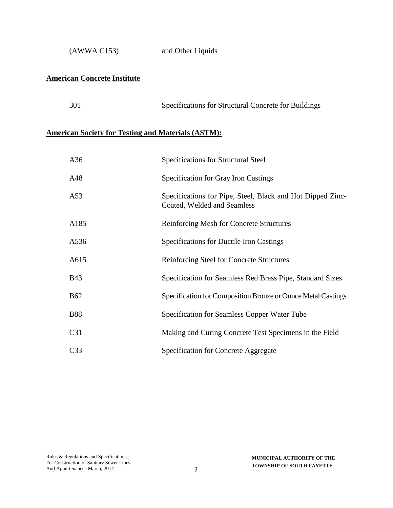(AWWA C153) and Other Liquids

# **American Concrete Institute**

### **American Society for Testing and Materials (ASTM):**

| A36             | Specifications for Structural Steel                                                       |
|-----------------|-------------------------------------------------------------------------------------------|
| A48             | Specification for Gray Iron Castings                                                      |
| A53             | Specifications for Pipe, Steel, Black and Hot Dipped Zinc-<br>Coated, Welded and Seamless |
| A185            | <b>Reinforcing Mesh for Concrete Structures</b>                                           |
| A536            | Specifications for Ductile Iron Castings                                                  |
| A615            | Reinforcing Steel for Concrete Structures                                                 |
| <b>B43</b>      | Specification for Seamless Red Brass Pipe, Standard Sizes                                 |
| <b>B62</b>      | Specification for Composition Bronze or Ounce Metal Castings                              |
| <b>B88</b>      | Specification for Seamless Copper Water Tube                                              |
| C <sub>31</sub> | Making and Curing Concrete Test Specimens in the Field                                    |
| C <sub>33</sub> | <b>Specification for Concrete Aggregate</b>                                               |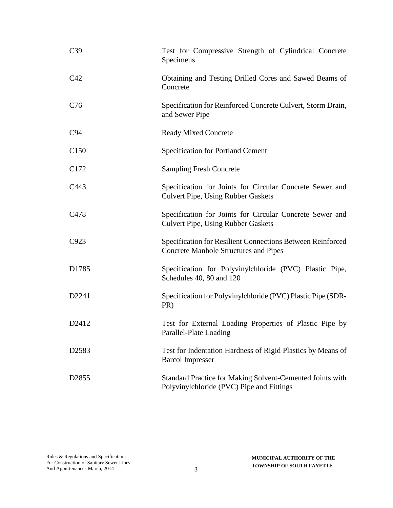| C39               | Test for Compressive Strength of Cylindrical Concrete<br>Specimens                                         |
|-------------------|------------------------------------------------------------------------------------------------------------|
| C42               | Obtaining and Testing Drilled Cores and Sawed Beams of<br>Concrete                                         |
| C76               | Specification for Reinforced Concrete Culvert, Storm Drain,<br>and Sewer Pipe                              |
| C94               | <b>Ready Mixed Concrete</b>                                                                                |
| C <sub>150</sub>  | <b>Specification for Portland Cement</b>                                                                   |
| C <sub>172</sub>  | <b>Sampling Fresh Concrete</b>                                                                             |
| C443              | Specification for Joints for Circular Concrete Sewer and<br><b>Culvert Pipe, Using Rubber Gaskets</b>      |
| C478              | Specification for Joints for Circular Concrete Sewer and<br><b>Culvert Pipe, Using Rubber Gaskets</b>      |
| C923              | Specification for Resilient Connections Between Reinforced<br><b>Concrete Manhole Structures and Pipes</b> |
| D1785             | Specification for Polyvinylchloride (PVC) Plastic Pipe,<br>Schedules 40, 80 and 120                        |
| D2241             | Specification for Polyvinylchloride (PVC) Plastic Pipe (SDR-<br>PR)                                        |
| D2412             | Test for External Loading Properties of Plastic Pipe by<br>Parallel-Plate Loading                          |
| D <sub>2583</sub> | Test for Indentation Hardness of Rigid Plastics by Means of<br><b>Barcol Impresser</b>                     |
| D <sub>2855</sub> | Standard Practice for Making Solvent-Cemented Joints with<br>Polyvinylchloride (PVC) Pipe and Fittings     |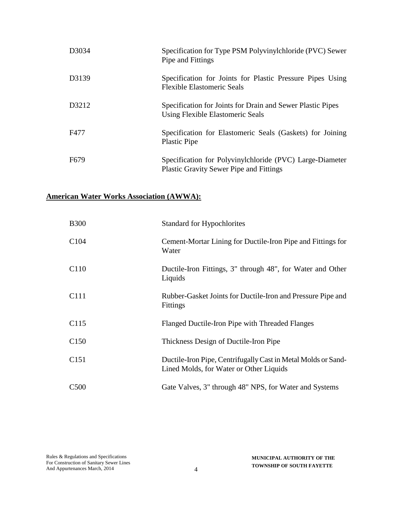| D3034            | Specification for Type PSM Polyvinylchloride (PVC) Sewer<br>Pipe and Fittings                              |
|------------------|------------------------------------------------------------------------------------------------------------|
| D3139            | Specification for Joints for Plastic Pressure Pipes Using<br><b>Flexible Elastomeric Seals</b>             |
| D3212            | Specification for Joints for Drain and Sewer Plastic Pipes<br>Using Flexible Elastomeric Seals             |
| F477             | Specification for Elastomeric Seals (Gaskets) for Joining<br><b>Plastic Pipe</b>                           |
| F <sub>679</sub> | Specification for Polyvinylchloride (PVC) Large-Diameter<br><b>Plastic Gravity Sewer Pipe and Fittings</b> |

# **American Water Works Association (AWWA):**

| <b>B300</b>      | <b>Standard for Hypochlorites</b>                                                                        |
|------------------|----------------------------------------------------------------------------------------------------------|
| C <sub>104</sub> | Cement-Mortar Lining for Ductile-Iron Pipe and Fittings for<br>Water                                     |
| C <sub>110</sub> | Ductile-Iron Fittings, 3" through 48", for Water and Other<br>Liquids                                    |
| C <sub>111</sub> | Rubber-Gasket Joints for Ductile-Iron and Pressure Pipe and<br><b>Fittings</b>                           |
| C <sub>115</sub> | Flanged Ductile-Iron Pipe with Threaded Flanges                                                          |
| C <sub>150</sub> | Thickness Design of Ductile-Iron Pipe                                                                    |
| C <sub>151</sub> | Ductile-Iron Pipe, Centrifugally Cast in Metal Molds or Sand-<br>Lined Molds, for Water or Other Liquids |
| C <sub>500</sub> | Gate Valves, 3" through 48" NPS, for Water and Systems                                                   |